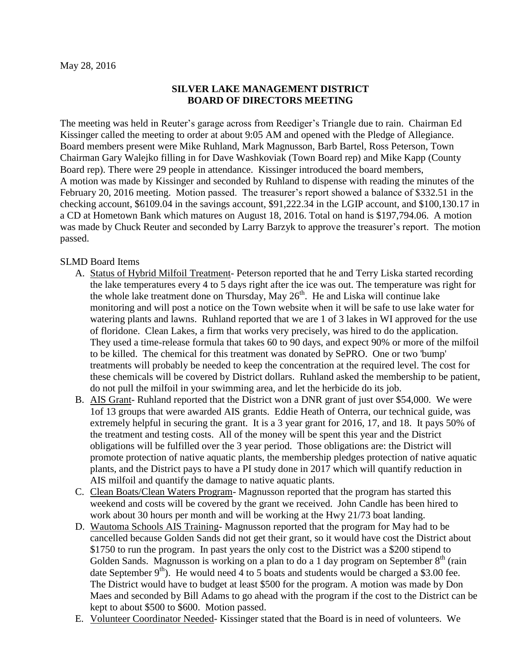# **SILVER LAKE MANAGEMENT DISTRICT BOARD OF DIRECTORS MEETING**

The meeting was held in Reuter's garage across from Reediger's Triangle due to rain. Chairman Ed Kissinger called the meeting to order at about 9:05 AM and opened with the Pledge of Allegiance. Board members present were Mike Ruhland, Mark Magnusson, Barb Bartel, Ross Peterson, Town Chairman Gary Walejko filling in for Dave Washkoviak (Town Board rep) and Mike Kapp (County Board rep). There were 29 people in attendance. Kissinger introduced the board members, A motion was made by Kissinger and seconded by Ruhland to dispense with reading the minutes of the February 20, 2016 meeting. Motion passed. The treasurer's report showed a balance of \$332.51 in the checking account, \$6109.04 in the savings account, \$91,222.34 in the LGIP account, and \$100,130.17 in a CD at Hometown Bank which matures on August 18, 2016. Total on hand is \$197,794.06. A motion was made by Chuck Reuter and seconded by Larry Barzyk to approve the treasurer's report. The motion passed.

# SLMD Board Items

- A. Status of Hybrid Milfoil Treatment- Peterson reported that he and Terry Liska started recording the lake temperatures every 4 to 5 days right after the ice was out. The temperature was right for the whole lake treatment done on Thursday, May  $26<sup>th</sup>$ . He and Liska will continue lake monitoring and will post a notice on the Town website when it will be safe to use lake water for watering plants and lawns. Ruhland reported that we are 1 of 3 lakes in WI approved for the use of floridone. Clean Lakes, a firm that works very precisely, was hired to do the application. They used a time-release formula that takes 60 to 90 days, and expect 90% or more of the milfoil to be killed. The chemical for this treatment was donated by SePRO. One or two 'bump' treatments will probably be needed to keep the concentration at the required level. The cost for these chemicals will be covered by District dollars. Ruhland asked the membership to be patient, do not pull the milfoil in your swimming area, and let the herbicide do its job.
- B. AIS Grant- Ruhland reported that the District won a DNR grant of just over \$54,000. We were 1of 13 groups that were awarded AIS grants. Eddie Heath of Onterra, our technical guide, was extremely helpful in securing the grant. It is a 3 year grant for 2016, 17, and 18. It pays 50% of the treatment and testing costs. All of the money will be spent this year and the District obligations will be fulfilled over the 3 year period. Those obligations are: the District will promote protection of native aquatic plants, the membership pledges protection of native aquatic plants, and the District pays to have a PI study done in 2017 which will quantify reduction in AIS milfoil and quantify the damage to native aquatic plants.
- C. Clean Boats/Clean Waters Program- Magnusson reported that the program has started this weekend and costs will be covered by the grant we received. John Candle has been hired to work about 30 hours per month and will be working at the Hwy 21/73 boat landing.
- D. Wautoma Schools AIS Training- Magnusson reported that the program for May had to be cancelled because Golden Sands did not get their grant, so it would have cost the District about \$1750 to run the program. In past years the only cost to the District was a \$200 stipend to Golden Sands. Magnusson is working on a plan to do a 1 day program on September  $8<sup>th</sup>$  (rain date September  $9<sup>th</sup>$ ). He would need 4 to 5 boats and students would be charged a \$3.00 fee. The District would have to budget at least \$500 for the program. A motion was made by Don Maes and seconded by Bill Adams to go ahead with the program if the cost to the District can be kept to about \$500 to \$600. Motion passed.
- E. Volunteer Coordinator Needed- Kissinger stated that the Board is in need of volunteers. We